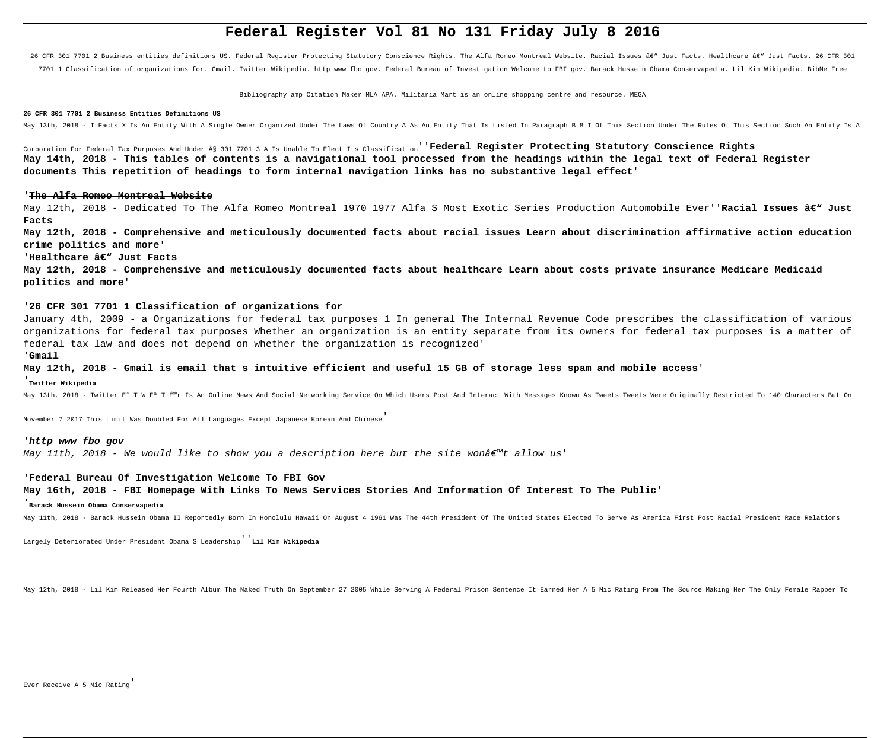# **Federal Register Vol 81 No 131 Friday July 8 2016**

26 CFR 301 7701 2 Business entities definitions US. Federal Register Protecting Statutory Conscience Rights. The Alfa Romeo Montreal Website. Racial Issues â€" Just Facts. Healthcare â€" Just Facts. 26 CFR 301 7701 1 Classification of organizations for. Gmail. Twitter Wikipedia. http www fbo gov. Federal Bureau of Investigation Welcome to FBI gov. Barack Hussein Obama Conservapedia. Lil Kim Wikipedia. BibMe Free

Bibliography amp Citation Maker MLA APA. Militaria Mart is an online shopping centre and resource. MEGA

#### **26 CFR 301 7701 2 Business Entities Definitions US**

May 13th, 2018 - I Facts X Is An Entity With A Single Owner Organized Under The Laws Of Country A As An Entity That Is Listed In Paragraph B 8 I Of This Section Under The Rules Of This Section Such An Entity Is A

Corporation For Federal Tax Purposes And Under § 301 7701 3 A Is Unable To Elect Its Classification''**Federal Register Protecting Statutory Conscience Rights May 14th, 2018 - This tables of contents is a navigational tool processed from the headings within the legal text of Federal Register documents This repetition of headings to form internal navigation links has no substantive legal effect**'

#### '**The Alfa Romeo Montreal Website**

May 12th, 2018 - Dedicated To The Alfa Romeo Montreal 1970 1977 Alfa S Most Exotic Series Production Automobile Ever''Racial Issues â€" Just **Facts**

**May 12th, 2018 - Comprehensive and meticulously documented facts about racial issues Learn about discrimination affirmative action education crime politics and more**'

## 'Healthcare â€<sup>w</sup> Just Facts

**May 12th, 2018 - Comprehensive and meticulously documented facts about healthcare Learn about costs private insurance Medicare Medicaid politics and more**'

## '**26 CFR 301 7701 1 Classification of organizations for**

January 4th, 2009 - a Organizations for federal tax purposes 1 In general The Internal Revenue Code prescribes the classification of various organizations for federal tax purposes Whether an organization is an entity separate from its owners for federal tax purposes is a matter of federal tax law and does not depend on whether the organization is recognized'

## '**Gmail**

## **May 12th, 2018 - Gmail is email that s intuitive efficient and useful 15 GB of storage less spam and mobile access**'

## '**Twitter Wikipedia**

May 13th, 2018 - Twitter Ë^ T W ɪ T É™r Is An Online News And Social Networking Service On Which Users Post And Interact With Messages Known As Tweets Were Originally Restricted To 140 Characters But On

November 7 2017 This Limit Was Doubled For All Languages Except Japanese Korean And Chinese'

## '**http www fbo gov**

May 11th, 2018 - We would like to show you a description here but the site wona  $\varepsilon^{m}$ t allow us'

#### '**Federal Bureau Of Investigation Welcome To FBI Gov**

**May 16th, 2018 - FBI Homepage With Links To News Services Stories And Information Of Interest To The Public**'

## '**Barack Hussein Obama Conservapedia**

May 11th, 2018 - Barack Hussein Obama II Reportedly Born In Honolulu Hawaii On August 4 1961 Was The 44th President Of The United States Elected To Serve As America First Post Racial President Race Relations

Largely Deteriorated Under President Obama S Leadership''**Lil Kim Wikipedia**

May 12th, 2018 - Lil Kim Released Her Fourth Album The Naked Truth On September 27 2005 While Serving A Federal Prison Sentence It Earned Her A 5 Mic Rating From The Source Making Her The Only Female Rapper To